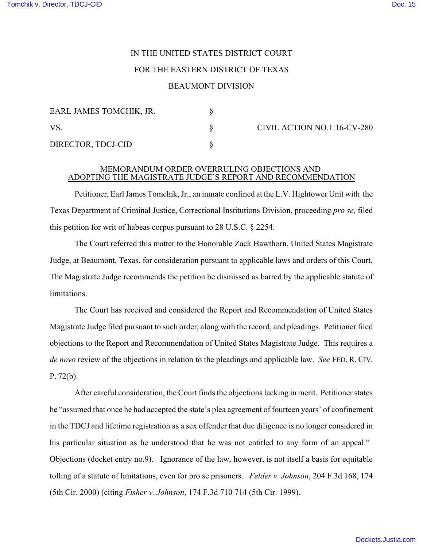## IN THE UNITED STATES DISTRICT COURT FOR THE EASTERN DISTRICT OF TEXAS

## BEAUMONT DIVISION

| EARL JAMES TOMCHIK, JR. |  |
|-------------------------|--|
| VS.                     |  |
| DIRECTOR, TDCJ-CID      |  |

CIVIL ACTION NO.1:16-CV-280

## MEMORANDUM ORDER OVERRULING OBJECTIONS AND ADOPTING THE MAGISTRATE JUDGE'S REPORT AND RECOMMENDATION

Petitioner, Earl James Tomchik, Jr., an inmate confined at the L.V. Hightower Unit with the Texas Department of Criminal Justice, Correctional Institutions Division, proceeding *pro se,* filed this petition for writ of habeas corpus pursuant to 28 U.S.C. § 2254.

The Court referred this matter to the Honorable Zack Hawthorn, United States Magistrate Judge, at Beaumont, Texas, for consideration pursuant to applicable laws and orders of this Court. The Magistrate Judge recommends the petition be dismissed as barred by the applicable statute of limitations.

The Court has received and considered the Report and Recommendation of United States Magistrate Judge filed pursuant to such order, along with the record, and pleadings. Petitioner filed objections to the Report and Recommendation of United States Magistrate Judge. This requires a *de novo* review of the objections in relation to the pleadings and applicable law. *See* FED. R. CIV. P. 72(b).

After careful consideration, the Court finds the objections lacking in merit. Petitioner states he "assumed that once he had accepted the state's plea agreement of fourteen years' of confinement in the TDCJ and lifetime registration as a sex offender that due diligence is no longer considered in his particular situation as he understood that he was not entitled to any form of an appeal." Objections (docket entry no.9). Ignorance of the law, however, is not itself a basis for equitable tolling of a statute of limitations, even for pro se prisoners. *Felder v. Johnson*, 204 F.3d 168, 174 (5th Cir. 2000) (citing *Fisher v. Johnson*, 174 F.3d 710 714 (5th Cir. 1999).